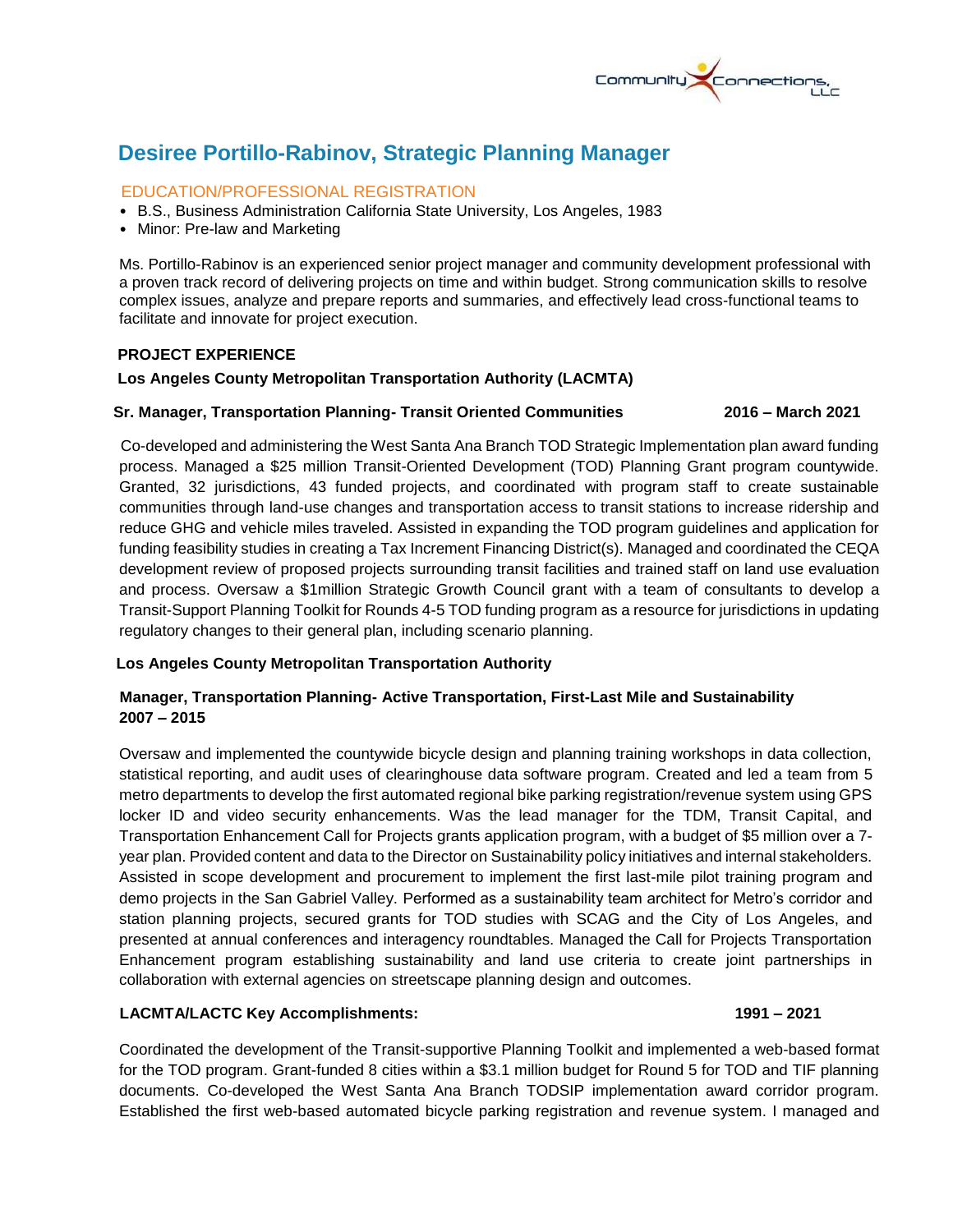

# **Desiree Portillo-Rabinov, Strategic Planning Manager**

### EDUCATION/PROFESSIONAL REGISTRATION

- B.S., Business Administration California State University, Los Angeles, 1983
- Minor: Pre-law and Marketing

Ms. Portillo-Rabinov is an experienced senior project manager and community development professional with a proven track record of delivering projects on time and within budget. Strong communication skills to resolve complex issues, analyze and prepare reports and summaries, and effectively lead cross-functional teams to facilitate and innovate for project execution.

#### **PROJECT EXPERIENCE**

#### **Los Angeles County Metropolitan Transportation Authority (LACMTA)**

#### **Sr. Manager, Transportation Planning- Transit Oriented Communities 2016 – March 2021**

 Co-developed and administering the West Santa Ana Branch TOD Strategic Implementation plan award funding process. Managed a \$25 million Transit-Oriented Development (TOD) Planning Grant program countywide. Granted, 32 jurisdictions, 43 funded projects, and coordinated with program staff to create sustainable communities through land-use changes and transportation access to transit stations to increase ridership and reduce GHG and vehicle miles traveled. Assisted in expanding the TOD program guidelines and application for funding feasibility studies in creating a Tax Increment Financing District(s). Managed and coordinated the CEQA development review of proposed projects surrounding transit facilities and trained staff on land use evaluation and process. Oversaw a \$1million Strategic Growth Council grant with a team of consultants to develop a Transit-Support Planning Toolkit for Rounds 4-5 TOD funding program as a resource for jurisdictions in updating regulatory changes to their general plan, including scenario planning.

### **Los Angeles County Metropolitan Transportation Authority**

### **Manager, Transportation Planning- Active Transportation, First-Last Mile and Sustainability 2007 – 2015**

Oversaw and implemented the countywide bicycle design and planning training workshops in data collection, statistical reporting, and audit uses of clearinghouse data software program. Created and led a team from 5 metro departments to develop the first automated regional bike parking registration/revenue system using GPS locker ID and video security enhancements. Was the lead manager for the TDM, Transit Capital, and Transportation Enhancement Call for Projects grants application program, with a budget of \$5 million over a 7 year plan. Provided content and data to the Director on Sustainability policy initiatives and internal stakeholders. Assisted in scope development and procurement to implement the first last-mile pilot training program and demo projects in the San Gabriel Valley. Performed as a sustainability team architect for Metro's corridor and station planning projects, secured grants for TOD studies with SCAG and the City of Los Angeles, and presented at annual conferences and interagency roundtables. Managed the Call for Projects Transportation Enhancement program establishing sustainability and land use criteria to create joint partnerships in collaboration with external agencies on streetscape planning design and outcomes.

### **LACMTA/LACTC Key Accomplishments: 1991 – 2021**

Coordinated the development of the Transit-supportive Planning Toolkit and implemented a web-based format for the TOD program. Grant-funded 8 cities within a \$3.1 million budget for Round 5 for TOD and TIF planning documents. Co-developed the West Santa Ana Branch TODSIP implementation award corridor program. Established the first web-based automated bicycle parking registration and revenue system. I managed and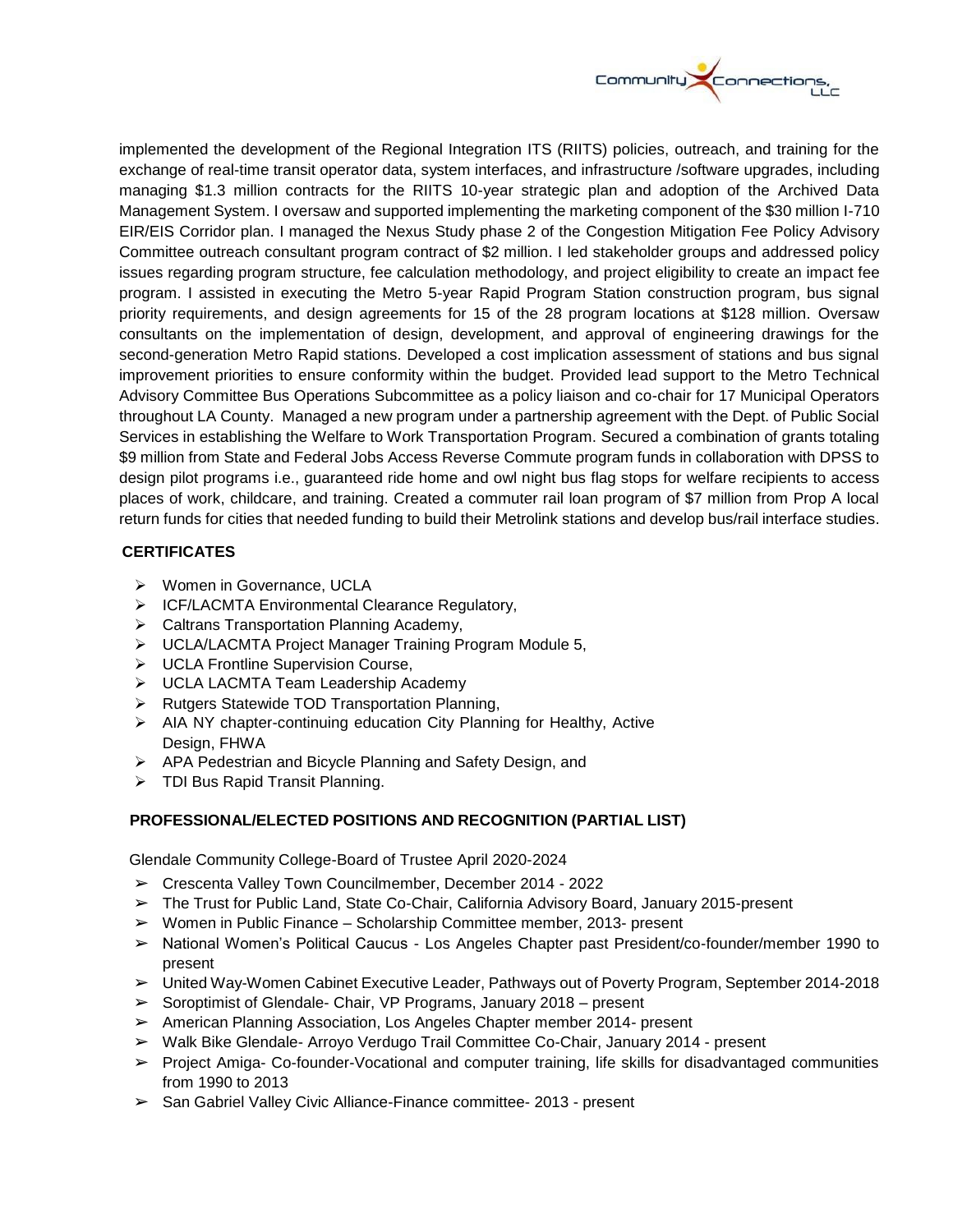

implemented the development of the Regional Integration ITS (RIITS) policies, outreach, and training for the exchange of real-time transit operator data, system interfaces, and infrastructure /software upgrades, including managing \$1.3 million contracts for the RIITS 10-year strategic plan and adoption of the Archived Data Management System. I oversaw and supported implementing the marketing component of the \$30 million I-710 EIR/EIS Corridor plan. I managed the Nexus Study phase 2 of the Congestion Mitigation Fee Policy Advisory Committee outreach consultant program contract of \$2 million. I led stakeholder groups and addressed policy issues regarding program structure, fee calculation methodology, and project eligibility to create an impact fee program. I assisted in executing the Metro 5-year Rapid Program Station construction program, bus signal priority requirements, and design agreements for 15 of the 28 program locations at \$128 million. Oversaw consultants on the implementation of design, development, and approval of engineering drawings for the second-generation Metro Rapid stations. Developed a cost implication assessment of stations and bus signal improvement priorities to ensure conformity within the budget. Provided lead support to the Metro Technical Advisory Committee Bus Operations Subcommittee as a policy liaison and co-chair for 17 Municipal Operators throughout LA County. Managed a new program under a partnership agreement with the Dept. of Public Social Services in establishing the Welfare to Work Transportation Program. Secured a combination of grants totaling \$9 million from State and Federal Jobs Access Reverse Commute program funds in collaboration with DPSS to design pilot programs i.e., guaranteed ride home and owl night bus flag stops for welfare recipients to access places of work, childcare, and training. Created a commuter rail loan program of \$7 million from Prop A local return funds for cities that needed funding to build their Metrolink stations and develop bus/rail interface studies.

### **CERTIFICATES**

- ▶ Women in Governance, UCLA
- ▶ ICF/LACMTA Environmental Clearance Regulatory,
- **▶ Caltrans Transportation Planning Academy,**
- UCLA/LACMTA Project Manager Training Program Module 5,
- UCLA Frontline Supervision Course,
- > UCLA LACMTA Team Leadership Academy
- $\triangleright$  Rutgers Statewide TOD Transportation Planning,
- > AIA NY chapter-continuing education City Planning for Healthy, Active Design, FHWA
- APA Pedestrian and Bicycle Planning and Safety Design, and
- > TDI Bus Rapid Transit Planning.

## **PROFESSIONAL/ELECTED POSITIONS AND RECOGNITION (PARTIAL LIST)**

Glendale Community College-Board of Trustee April 2020-2024

- ➢ Crescenta Valley Town Councilmember, December 2014 2022
- ➢ The Trust for Public Land, State Co-Chair, California Advisory Board, January 2015-present
- $\triangleright$  Women in Public Finance Scholarship Committee member, 2013- present
- ➢ National Women's Political Caucus Los Angeles Chapter past President/co-founder/member 1990 to present
- ➢ United Way-Women Cabinet Executive Leader, Pathways out of Poverty Program, September 2014-2018
- $\triangleright$  Soroptimist of Glendale-Chair, VP Programs, January 2018 present
- ➢ American Planning Association, Los Angeles Chapter member 2014- present
- ➢ Walk Bike Glendale- Arroyo Verdugo Trail Committee Co-Chair, January 2014 present
- ➢ Project Amiga- Co-founder-Vocational and computer training, life skills for disadvantaged communities from 1990 to 2013
- ➢ San Gabriel Valley Civic Alliance-Finance committee- 2013 present